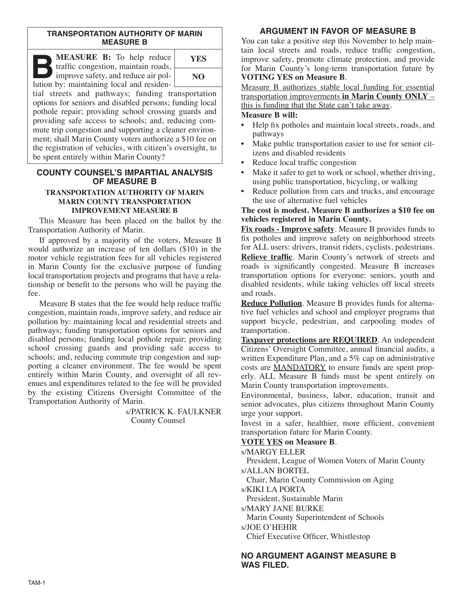#### **TRANSPORTATION AUTHORITY OF MARIN MEASURE B**

**B:** To help reduce<br>traffic congestion, maintain roads,<br>improve safety, and reduce air pol-<br>lution by: maintaining local and residen traffic congestion, maintain roads, lution by: maintaining local and residen-



tial streets and pathways; funding transportation options for seniors and disabled persons; funding local pothole repair; providing school crossing guards and providing safe access to schools; and, reducing commute trip congestion and supporting a cleaner environment; shall Marin County voters authorize a \$10 fee on the registration of vehicles, with citizen's oversight, to be spent entirely within Marin County?

#### **COUNTY COUNSEL'S IMPARTIAL ANALYSIS OF MEASURE B TRANSPORTATION AUTHORITY OF MARIN MARIN COUNTY TRANSPORTATION**

## **IMPROVEMENT MEASURE B**

This Measure has been placed on the ballot by the Transportation Authority of Marin.

If approved by a majority of the voters, Measure B would authorize an increase of ten dollars (\$10) in the motor vehicle registration fees for all vehicles registered in Marin County for the exclusive purpose of funding local transportation projects and programs that have a relationship or benefit to the persons who will be paying the fee.

Measure B states that the fee would help reduce traffic congestion, maintain roads, improve safety, and reduce air pollution by: maintaining local and residential streets and pathways; funding transportation options for seniors and disabled persons; funding local pothole repair; providing school crossing guards and providing safe access to schools; and, reducing commute trip congestion and supporting a cleaner environment. The fee would be spent entirely within Marin County, and oversight of all revenues and expenditures related to the fee will be provided by the existing Citizens Oversight Committee of the Transportation Authority of Marin.

> s/PATRICK K. FAULKNER County Counsel

## **ARGUMENT IN FAVOR OF MEASURE B**

You can take a positive step this November to help maintain local streets and roads, reduce traffic congestion, improve safety, promote climate protection, and provide for Marin County's long-term transportation future by **VOTING YES on Measure B**.

Measure B authorizes stable local funding for essential transportation improverments **in Marin County ONLY** – this is funding that the State can't take away.

#### **Measure B will:**

- Help fix potholes and maintain local streets, roads, and pathways
- Make public transportation easier to use for senior citizens and disabled residents
- Reduce local traffic congestion
- Make it safer to get to work or school, whether driving, using public transportation, bicycling, or walking
- Reduce pollution from cars and trucks, and encourage the use of alternative fuel vehicles

#### **The cost is modest. Measure B authorizes a \$10 fee on vehicles registered in Marin County.**

**Fix roads - Improve safety**. Measure B provides funds to fix potholes and improve safety on neighborhood streets for ALL users: drivers, transit riders, cyclists, pedestrians. **Relieve traffic**. Marin County's network of streets and roads is significantly congested. Measure B increases transportation options for everyone: seniors, youth and disabled residents, while taking vehicles off local streets and roads.

**Reduce Pollution**. Measure B provides funds for alternative fuel vehicles and school and employer programs that support bicycle, pedestrian, and carpooling modes of transportation.

**Taxpayer protections are REQUIRED**. An independent Citizens' Oversight Committee, annual financial audits, a written Expenditure Plan, and a 5% cap on administrative costs are MANDATORY to ensure funds are spent properly. ALL Measure B funds must be spent entirely on Marin County transportation improvements.

Environmental, business, labor, education, transit and senior advocates, plus citizens throughout Marin County urge your support.

Invest in a safer, healthier, more efficient, convenient transportation future for Marin County.

## **VOTE YES on Measure B**.

s/MARGY ELLER

President, League of Women Voters of Marin County s/ALLAN BORTEL

Chair, Marin County Commission on Aging

s/KIKI LA PORTA

President, Sustainable Marin

s/MARY JANE BURKE

Marin County Superintendent of Schools s/JOE O'HEHIR

Chief Executive Officer, Whistlestop

## **NO ARGUMENT AGAINST MEASURE B WAS FILED.**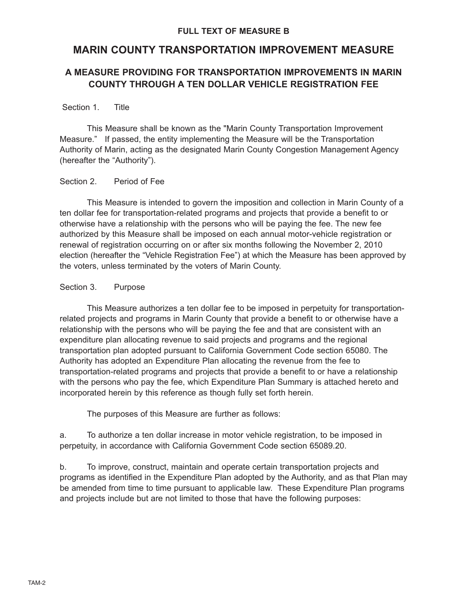## **MARIN COUNTY TRANSPORTATION IMPROVEMENT MEASURE**

## **A MEASURE PROVIDING FOR TRANSPORTATION IMPROVEMENTS IN MARIN COUNTY THROUGH A TEN DOLLAR VEHICLE REGISTRATION FEE**

## Section 1. Title

This Measure shall be known as the "Marin County Transportation Improvement Measure." If passed, the entity implementing the Measure will be the Transportation Authority of Marin, acting as the designated Marin County Congestion Management Agency (hereafter the "Authority").

## Section 2. Period of Fee

This Measure is intended to govern the imposition and collection in Marin County of a ten dollar fee for transportation-related programs and projects that provide a benefit to or otherwise have a relationship with the persons who will be paying the fee. The new fee authorized by this Measure shall be imposed on each annual motor-vehicle registration or renewal of registration occurring on or after six months following the November 2, 2010 election (hereafter the "Vehicle Registration Fee") at which the Measure has been approved by the voters, unless terminated by the voters of Marin County.

## Section 3. Purpose

This Measure authorizes a ten dollar fee to be imposed in perpetuity for transportationrelated projects and programs in Marin County that provide a benefit to or otherwise have a relationship with the persons who will be paying the fee and that are consistent with an expenditure plan allocating revenue to said projects and programs and the regional transportation plan adopted pursuant to California Government Code section 65080. The Authority has adopted an Expenditure Plan allocating the revenue from the fee to transportation-related programs and projects that provide a benefit to or have a relationship with the persons who pay the fee, which Expenditure Plan Summary is attached hereto and incorporated herein by this reference as though fully set forth herein.

The purposes of this Measure are further as follows:

a. To authorize a ten dollar increase in motor vehicle registration, to be imposed in perpetuity, in accordance with California Government Code section 65089.20.

b. To improve, construct, maintain and operate certain transportation projects and programs as identified in the Expenditure Plan adopted by the Authority, and as that Plan may be amended from time to time pursuant to applicable law. These Expenditure Plan programs and projects include but are not limited to those that have the following purposes: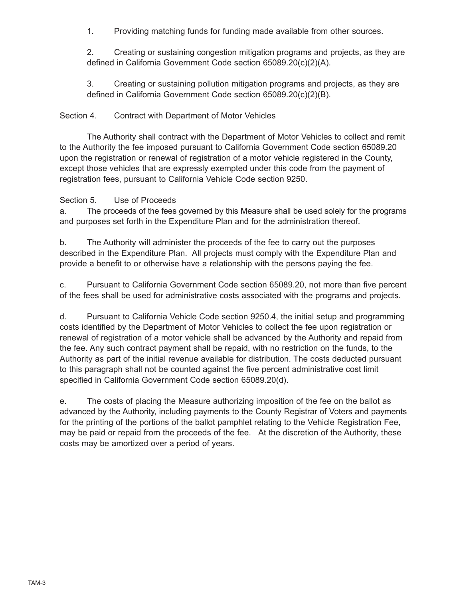1. Providing matching funds for funding made available from other sources.

2. Creating or sustaining congestion mitigation programs and projects, as they are defined in California Government Code section 65089.20(c)(2)(A).

3. Creating or sustaining pollution mitigation programs and projects, as they are defined in California Government Code section 65089.20(c)(2)(B).

## Section 4. Contract with Department of Motor Vehicles

The Authority shall contract with the Department of Motor Vehicles to collect and remit to the Authority the fee imposed pursuant to California Government Code section 65089.20 upon the registration or renewal of registration of a motor vehicle registered in the County, except those vehicles that are expressly exempted under this code from the payment of registration fees, pursuant to California Vehicle Code section 9250.

## Section 5. Use of Proceeds

a. The proceeds of the fees governed by this Measure shall be used solely for the programs and purposes set forth in the Expenditure Plan and for the administration thereof.

b. The Authority will administer the proceeds of the fee to carry out the purposes described in the Expenditure Plan. All projects must comply with the Expenditure Plan and provide a benefit to or otherwise have a relationship with the persons paying the fee.

c. Pursuant to California Government Code section 65089.20, not more than five percent of the fees shall be used for administrative costs associated with the programs and projects.

d. Pursuant to California Vehicle Code section 9250.4, the initial setup and programming costs identified by the Department of Motor Vehicles to collect the fee upon registration or renewal of registration of a motor vehicle shall be advanced by the Authority and repaid from the fee. Any such contract payment shall be repaid, with no restriction on the funds, to the Authority as part of the initial revenue available for distribution. The costs deducted pursuant to this paragraph shall not be counted against the five percent administrative cost limit specified in California Government Code section 65089.20(d).

e. The costs of placing the Measure authorizing imposition of the fee on the ballot as advanced by the Authority, including payments to the County Registrar of Voters and payments for the printing of the portions of the ballot pamphlet relating to the Vehicle Registration Fee, may be paid or repaid from the proceeds of the fee. At the discretion of the Authority, these costs may be amortized over a period of years.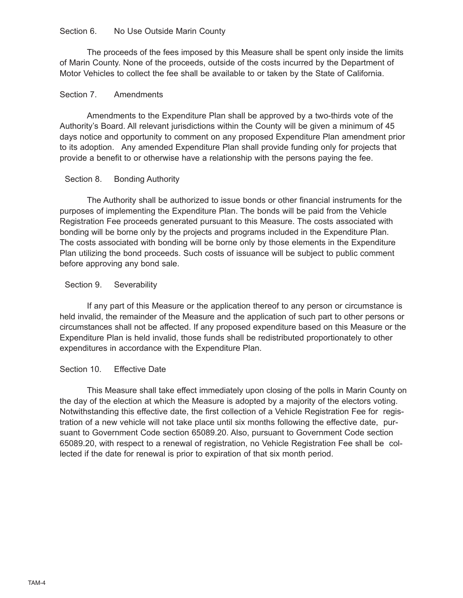## Section 6. No Use Outside Marin County

The proceeds of the fees imposed by this Measure shall be spent only inside the limits of Marin County. None of the proceeds, outside of the costs incurred by the Department of Motor Vehicles to collect the fee shall be available to or taken by the State of California.

## Section 7. Amendments

Amendments to the Expenditure Plan shall be approved by a two-thirds vote of the Authority's Board. All relevant jurisdictions within the County will be given a minimum of 45 days notice and opportunity to comment on any proposed Expenditure Plan amendment prior to its adoption. Any amended Expenditure Plan shall provide funding only for projects that provide a benefit to or otherwise have a relationship with the persons paying the fee.

## Section 8. Bonding Authority

The Authority shall be authorized to issue bonds or other financial instruments for the purposes of implementing the Expenditure Plan. The bonds will be paid from the Vehicle Registration Fee proceeds generated pursuant to this Measure. The costs associated with bonding will be borne only by the projects and programs included in the Expenditure Plan. The costs associated with bonding will be borne only by those elements in the Expenditure Plan utilizing the bond proceeds. Such costs of issuance will be subject to public comment before approving any bond sale.

## Section 9. Severability

If any part of this Measure or the application thereof to any person or circumstance is held invalid, the remainder of the Measure and the application of such part to other persons or circumstances shall not be affected. If any proposed expenditure based on this Measure or the Expenditure Plan is held invalid, those funds shall be redistributed proportionately to other expenditures in accordance with the Expenditure Plan.

## Section 10. Effective Date

This Measure shall take effect immediately upon closing of the polls in Marin County on the day of the election at which the Measure is adopted by a majority of the electors voting. Notwithstanding this effective date, the first collection of a Vehicle Registration Fee for registration of a new vehicle will not take place until six months following the effective date, pursuant to Government Code section 65089.20. Also, pursuant to Government Code section 65089.20, with respect to a renewal of registration, no Vehicle Registration Fee shall be collected if the date for renewal is prior to expiration of that six month period.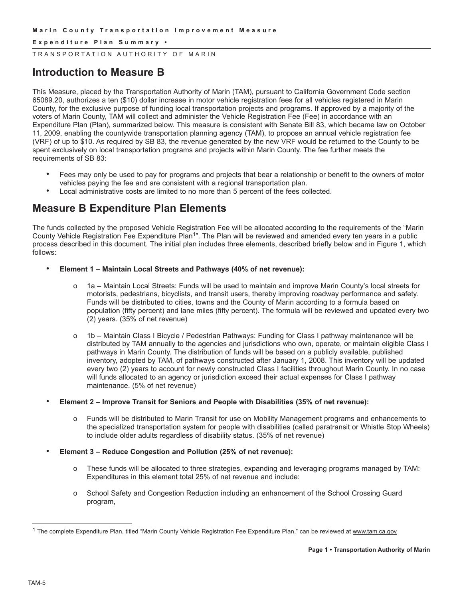#### **E x p e n d i t u r e P l a n S u m m a r y •**

TRANSPORTATION AUTHORITY OF MARIN

## **Introduction to Measure B**

This Measure, placed by the Transportation Authority of Marin (TAM), pursuant to California Government Code section 65089.20, authorizes a ten (\$10) dollar increase in motor vehicle registration fees for all vehicles registered in Marin County, for the exclusive purpose of funding local transportation projects and programs. If approved by a majority of the voters of Marin County, TAM will collect and administer the Vehicle Registration Fee (Fee) in accordance with an Expenditure Plan (Plan), summarized below. This measure is consistent with Senate Bill 83, which became law on October 11, 2009, enabling the countywide transportation planning agency (TAM), to propose an annual vehicle registration fee (VRF) of up to \$10. As required by SB 83, the revenue generated by the new VRF would be returned to the County to be spent exclusively on local transportation programs and projects within Marin County. The fee further meets the requirements of SB 83:

- Fees may only be used to pay for programs and projects that bear a relationship or benefit to the owners of motor vehicles paying the fee and are consistent with a regional transportation plan.
- Local administrative costs are limited to no more than 5 percent of the fees collected.

## **Measure B Expenditure Plan Elements**

The funds collected by the proposed Vehicle Registration Fee will be allocated according to the requirements of the "Marin County Vehicle Registration Fee Expenditure Plan<sup>1</sup>". The Plan will be reviewed and amended every ten years in a public process described in this document. The initial plan includes three elements, described briefly below and in Figure 1, which follows:

- **Element 1 – Maintain Local Streets and Pathways (40% of net revenue):**
	- o 1a Maintain Local Streets: Funds will be used to maintain and improve Marin County's local streets for motorists, pedestrians, bicyclists, and transit users, thereby improving roadway performance and safety. Funds will be distributed to cities, towns and the County of Marin according to a formula based on population (fifty percent) and lane miles (fifty percent). The formula will be reviewed and updated every two (2) years. (35% of net revenue)
	- o 1b Maintain Class I Bicycle / Pedestrian Pathways: Funding for Class I pathway maintenance will be distributed by TAM annually to the agencies and jurisdictions who own, operate, or maintain eligible Class I pathways in Marin County. The distribution of funds will be based on a publicly available, published inventory, adopted by TAM, of pathways constructed after January 1, 2008. This inventory will be updated every two (2) years to account for newly constructed Class I facilities throughout Marin County. In no case will funds allocated to an agency or jurisdiction exceed their actual expenses for Class I pathway maintenance. (5% of net revenue)
- **Element 2 – Improve Transit for Seniors and People with Disabilities (35% of net revenue):**
	- o Funds will be distributed to Marin Transit for use on Mobility Management programs and enhancements to the specialized transportation system for people with disabilities (called paratransit or Whistle Stop Wheels) to include older adults regardless of disability status. (35% of net revenue)
- **Element 3 – Reduce Congestion and Pollution (25% of net revenue):**
	- o These funds will be allocated to three strategies, expanding and leveraging programs managed by TAM: Expenditures in this element total 25% of net revenue and include:
	- o School Safety and Congestion Reduction including an enhancement of the School Crossing Guard program,

<sup>&</sup>lt;sup>1</sup> The complete Expenditure Plan, titled "Marin County Vehicle Registration Fee Expenditure Plan," can be reviewed at www.tam.ca.gov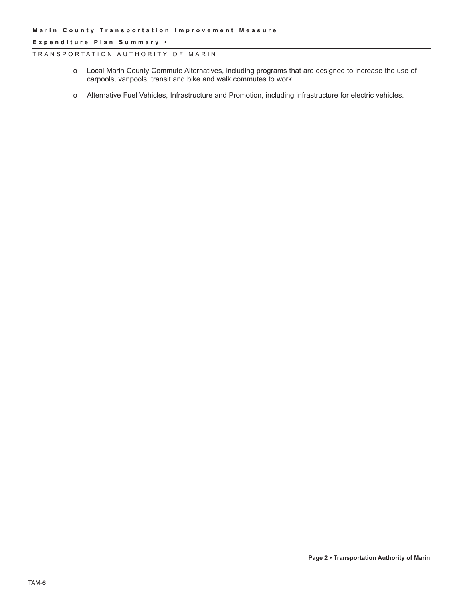#### **E x p e n d i t u r e P l a n S u m m a r y •**

#### TRANSPORTATION AUTHORITY OF MARIN

- o Local Marin County Commute Alternatives, including programs that are designed to increase the use of carpools, vanpools, transit and bike and walk commutes to work.
- o Alternative Fuel Vehicles, Infrastructure and Promotion, including infrastructure for electric vehicles.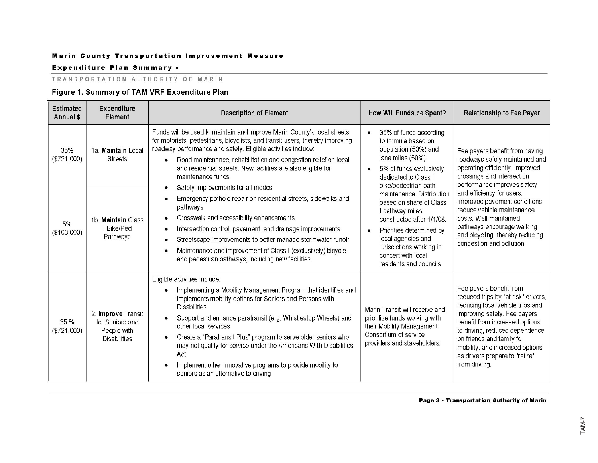#### Expenditure Plan Summary .

#### TRANSPORTATION AUTHORITY OF MARIN

## Figure 1. Summary of TAM VRF Expenditure Plan

| <b>Estimated</b><br>Annual \$ | Expenditure<br>Element                                                      | <b>Description of Element</b>                                                                                                                                                                                                                                                                                                                                                                                                                                                                                                                                                                                                                                                                                                                                                                                   | How Will Funds be Spent?                                                                                                                                                                                                                                                                                                                                                                                                | <b>Relationship to Fee Payer</b>                                                                                                                                                                                                                                                                                                                                                    |
|-------------------------------|-----------------------------------------------------------------------------|-----------------------------------------------------------------------------------------------------------------------------------------------------------------------------------------------------------------------------------------------------------------------------------------------------------------------------------------------------------------------------------------------------------------------------------------------------------------------------------------------------------------------------------------------------------------------------------------------------------------------------------------------------------------------------------------------------------------------------------------------------------------------------------------------------------------|-------------------------------------------------------------------------------------------------------------------------------------------------------------------------------------------------------------------------------------------------------------------------------------------------------------------------------------------------------------------------------------------------------------------------|-------------------------------------------------------------------------------------------------------------------------------------------------------------------------------------------------------------------------------------------------------------------------------------------------------------------------------------------------------------------------------------|
| 35%<br>(\$721,000)            | 1a. Maintain Local<br><b>Streets</b>                                        | Funds will be used to maintain and improve Marin County's local streets<br>for motorists, pedestrians, bicyclists, and transit users, thereby improving<br>roadway performance and safety. Eligible activities include:<br>Road maintenance, rehabilitation and congestion relief on local<br>$\bullet$<br>and residential streets. New facilities are also eligible for<br>maintenance funds.<br>Safety improvements for all modes<br>Emergency pothole repair on residential streets, sidewalks and<br>pathways<br>Crosswalk and accessibility enhancements<br>Intersection control, pavement, and drainage improvements<br>Streetscape improvements to better manage stormwater runoff<br>Maintenance and improvement of Class I (exclusively) bicycle<br>and pedestrian pathways, including new facilities. | 35% of funds according<br>$\bullet$<br>to formula based on<br>population (50%) and<br>lane miles (50%)<br>5% of funds exclusively<br>dedicated to Class I<br>bike/pedestrian path<br>maintenance. Distribution<br>based on share of Class<br>l pathway miles<br>constructed after 1/1/08.<br>Priorities determined by<br>local agencies and<br>jurisdictions working in<br>concert with local<br>residents and councils | Fee payers benefit from having<br>roadways safely maintained and<br>operating efficiently. Improved<br>crossings and intersection<br>performance improves safety<br>and efficiency for users.<br>Improved pavement conditions<br>reduce vehicle maintenance<br>costs. Well-maintained<br>pathways encourage walking<br>and bicycling, thereby reducing<br>congestion and pollution. |
| 5%<br>(\$103,000)             | 1b. Maintain Class<br>I Bike/Ped<br>Pathways                                |                                                                                                                                                                                                                                                                                                                                                                                                                                                                                                                                                                                                                                                                                                                                                                                                                 |                                                                                                                                                                                                                                                                                                                                                                                                                         |                                                                                                                                                                                                                                                                                                                                                                                     |
| 35 %<br>(\$721,000)           | 2. Improve Transit<br>for Seniors and<br>People with<br><b>Disabilities</b> | Eligible activities include:<br>Implementing a Mobility Management Program that identifies and<br>implements mobility options for Seniors and Persons with<br><b>Disabilities</b><br>Support and enhance paratransit (e.g. Whistlestop Wheels) and<br>other local services<br>Create a "Paratransit Plus" program to serve older seniors who<br>may not qualify for service under the Americans With Disabilities<br>Act<br>Implement other innovative programs to provide mobility to<br>seniors as an alternative to driving                                                                                                                                                                                                                                                                                  | Marin Transit will receive and<br>prioritize funds working with<br>their Mobility Management<br>Consortium of service<br>providers and stakeholders.                                                                                                                                                                                                                                                                    | Fee payers benefit from<br>reduced trips by "at risk" drivers,<br>reducing local vehicle trips and<br>improving safety. Fee payers<br>benefit from increased options<br>to driving, reduced dependence<br>on friends and family for<br>mobility, and increased options<br>as drivers prepare to "retire"<br>from driving.                                                           |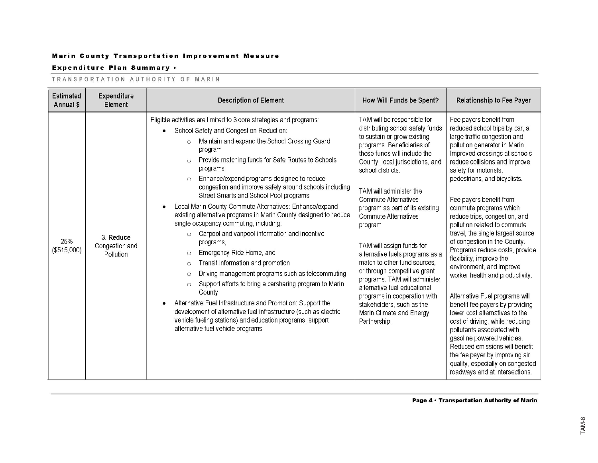#### Expenditure Plan Summary .

#### TRANSPORTATION AUTHORITY OF MARIN

| <b>Estimated</b><br>Annual \$ | Expenditure<br>Element                   | <b>Description of Element</b>                                                                                                                                                                                                                                                                                                                                                                                                                                                                                                                                                                                                                                                                                                                                                                                                                                                                                                                                                                                                                                                                                                                              | How Will Funds be Spent?                                                                                                                                                                                                                                                                                                                                                                                                                                                                                                                                                                                                                                  | <b>Relationship to Fee Payer</b>                                                                                                                                                                                                                                                                                                                                                                                                                                                                                                                                                                                                                                                                                                                                                                                                                                                                                              |
|-------------------------------|------------------------------------------|------------------------------------------------------------------------------------------------------------------------------------------------------------------------------------------------------------------------------------------------------------------------------------------------------------------------------------------------------------------------------------------------------------------------------------------------------------------------------------------------------------------------------------------------------------------------------------------------------------------------------------------------------------------------------------------------------------------------------------------------------------------------------------------------------------------------------------------------------------------------------------------------------------------------------------------------------------------------------------------------------------------------------------------------------------------------------------------------------------------------------------------------------------|-----------------------------------------------------------------------------------------------------------------------------------------------------------------------------------------------------------------------------------------------------------------------------------------------------------------------------------------------------------------------------------------------------------------------------------------------------------------------------------------------------------------------------------------------------------------------------------------------------------------------------------------------------------|-------------------------------------------------------------------------------------------------------------------------------------------------------------------------------------------------------------------------------------------------------------------------------------------------------------------------------------------------------------------------------------------------------------------------------------------------------------------------------------------------------------------------------------------------------------------------------------------------------------------------------------------------------------------------------------------------------------------------------------------------------------------------------------------------------------------------------------------------------------------------------------------------------------------------------|
| 25%<br>(\$515,000)            | 3. Reduce<br>Congestion and<br>Pollution | Eligible activities are limited to 3 core strategies and programs:<br>School Safety and Congestion Reduction:<br>Maintain and expand the School Crossing Guard<br>$\circ$<br>program<br>Provide matching funds for Safe Routes to Schools<br>$\circ$<br>programs<br>Enhance/expand programs designed to reduce<br>$\circ$<br>congestion and improve safety around schools including<br>Street Smarts and School Pool programs<br>Local Marin County Commute Alternatives: Enhance/expand<br>existing alternative programs in Marin County designed to reduce<br>single occupancy commuting, including:<br>Carpool and vanpool information and incentive<br>$\circ$<br>programs,<br>Emergency Ride Home, and<br>$\circ$<br>Transit information and promotion<br>$\circ$<br>Driving management programs such as telecommuting<br>$\circ$<br>Support efforts to bring a carsharing program to Marin<br>$\circ$<br>County<br>Alternative Fuel Infrastructure and Promotion: Support the<br>development of alternative fuel infrastructure (such as electric<br>vehicle fueling stations) and education programs; support<br>alternative fuel vehicle programs. | TAM will be responsible for<br>distributing school safety funds<br>to sustain or grow existing<br>programs. Beneficiaries of<br>these funds will include the<br>County, local jurisdictions, and<br>school districts.<br>TAM will administer the<br>Commute Alternatives<br>program as part of its existing<br>Commute Alternatives<br>program.<br>TAM will assign funds for<br>alternative fuels programs as a<br>match to other fund sources.<br>or through competitive grant<br>programs. TAM will administer<br>alternative fuel educational<br>programs in cooperation with<br>stakeholders, such as the<br>Marin Climate and Energy<br>Partnership. | Fee payers benefit from<br>reduced school trips by car, a<br>large traffic congestion and<br>pollution generator in Marin.<br>Improved crossings at schools<br>reduce collisions and improve<br>safety for motorists,<br>pedestrians, and bicyclists.<br>Fee payers benefit from<br>commute programs which<br>reduce trips, congestion, and<br>pollution related to commute<br>travel, the single largest source<br>of congestion in the County.<br>Programs reduce costs, provide<br>flexibility, improve the<br>environment, and improve<br>worker health and productivity.<br>Alternative Fuel programs will<br>benefit fee payers by providing<br>lower cost alternatives to the<br>cost of driving, while reducing<br>pollutants associated with<br>gasoline powered vehicles.<br>Reduced emissions will benefit<br>the fee payer by improving air<br>quality, especially on congested<br>roadways and at intersections. |

Page 4 • Transportation Authority of Marin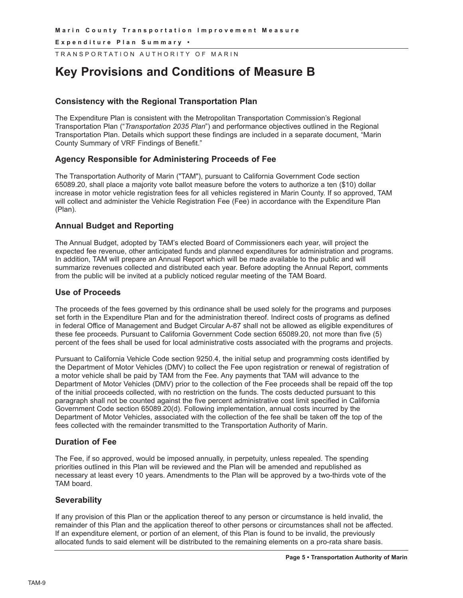**E x p e n d i t u r e P l a n S u m m a r y •**

TRANSPORTATION AUTHORITY OF MARIN

# **Key Provisions and Conditions of Measure B**

## **Consistency with the Regional Transportation Plan**

The Expenditure Plan is consistent with the Metropolitan Transportation Commission's Regional Transportation Plan ("*Transportation 2035 Plan*") and performance objectives outlined in the Regional Transportation Plan. Details which support these findings are included in a separate document, "Marin County Summary of VRF Findings of Benefit."

## **Agency Responsible for Administering Proceeds of Fee**

The Transportation Authority of Marin ("TAM"), pursuant to California Government Code section 65089.20, shall place a majority vote ballot measure before the voters to authorize a ten (\$10) dollar increase in motor vehicle registration fees for all vehicles registered in Marin County. If so approved, TAM will collect and administer the Vehicle Registration Fee (Fee) in accordance with the Expenditure Plan (Plan).

## **Annual Budget and Reporting**

The Annual Budget, adopted by TAM's elected Board of Commissioners each year, will project the expected fee revenue, other anticipated funds and planned expenditures for administration and programs. In addition, TAM will prepare an Annual Report which will be made available to the public and will summarize revenues collected and distributed each year. Before adopting the Annual Report, comments from the public will be invited at a publicly noticed regular meeting of the TAM Board.

## **Use of Proceeds**

The proceeds of the fees governed by this ordinance shall be used solely for the programs and purposes set forth in the Expenditure Plan and for the administration thereof. Indirect costs of programs as defined in federal Office of Management and Budget Circular A-87 shall not be allowed as eligible expenditures of these fee proceeds. Pursuant to California Government Code section 65089.20, not more than five (5) percent of the fees shall be used for local administrative costs associated with the programs and projects.

Pursuant to California Vehicle Code section 9250.4, the initial setup and programming costs identified by the Department of Motor Vehicles (DMV) to collect the Fee upon registration or renewal of registration of a motor vehicle shall be paid by TAM from the Fee. Any payments that TAM will advance to the Department of Motor Vehicles (DMV) prior to the collection of the Fee proceeds shall be repaid off the top of the initial proceeds collected, with no restriction on the funds. The costs deducted pursuant to this paragraph shall not be counted against the five percent administrative cost limit specified in California Government Code section 65089.20(d). Following implementation, annual costs incurred by the Department of Motor Vehicles, associated with the collection of the fee shall be taken off the top of the fees collected with the remainder transmitted to the Transportation Authority of Marin.

## **Duration of Fee**

The Fee, if so approved, would be imposed annually, in perpetuity, unless repealed. The spending priorities outlined in this Plan will be reviewed and the Plan will be amended and republished as necessary at least every 10 years. Amendments to the Plan will be approved by a two-thirds vote of the TAM board.

## **Severability**

If any provision of this Plan or the application thereof to any person or circumstance is held invalid, the remainder of this Plan and the application thereof to other persons or circumstances shall not be affected. If an expenditure element, or portion of an element, of this Plan is found to be invalid, the previously allocated funds to said element will be distributed to the remaining elements on a pro-rata share basis.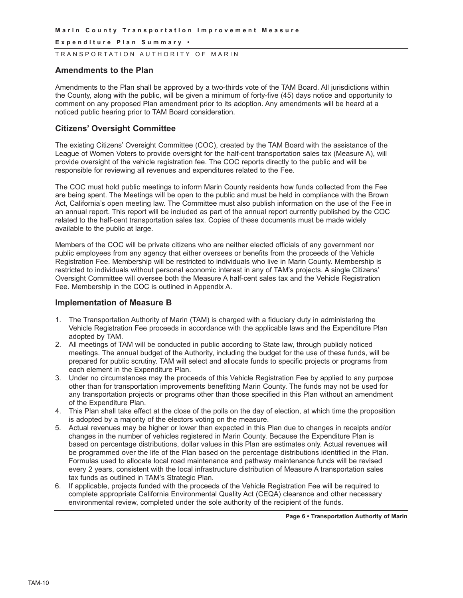**E x p e n d i t u r e P l a n S u m m a r y •**

TRANSPORTATION AUTHORITY OF MARIN

#### **Amendments to the Plan**

Amendments to the Plan shall be approved by a two-thirds vote of the TAM Board. All jurisdictions within the County, along with the public, will be given a minimum of forty-five (45) days notice and opportunity to comment on any proposed Plan amendment prior to its adoption. Any amendments will be heard at a noticed public hearing prior to TAM Board consideration.

#### **Citizens' Oversight Committee**

The existing Citizens' Oversight Committee (COC), created by the TAM Board with the assistance of the League of Women Voters to provide oversight for the half-cent transportation sales tax (Measure A), will provide oversight of the vehicle registration fee. The COC reports directly to the public and will be responsible for reviewing all revenues and expenditures related to the Fee.

The COC must hold public meetings to inform Marin County residents how funds collected from the Fee are being spent. The Meetings will be open to the public and must be held in compliance with the Brown Act, California's open meeting law. The Committee must also publish information on the use of the Fee in an annual report. This report will be included as part of the annual report currently published by the COC related to the half-cent transportation sales tax. Copies of these documents must be made widely available to the public at large.

Members of the COC will be private citizens who are neither elected officials of any government nor public employees from any agency that either oversees or benefits from the proceeds of the Vehicle Registration Fee. Membership will be restricted to individuals who live in Marin County. Membership is restricted to individuals without personal economic interest in any of TAM's projects. A single Citizens' Oversight Committee will oversee both the Measure A half-cent sales tax and the Vehicle Registration Fee. Membership in the COC is outlined in Appendix A.

#### **Implementation of Measure B**

- 1. The Transportation Authority of Marin (TAM) is charged with a fiduciary duty in administering the Vehicle Registration Fee proceeds in accordance with the applicable laws and the Expenditure Plan adopted by TAM.
- 2. All meetings of TAM will be conducted in public according to State law, through publicly noticed meetings. The annual budget of the Authority, including the budget for the use of these funds, will be prepared for public scrutiny. TAM will select and allocate funds to specific projects or programs from each element in the Expenditure Plan.
- 3. Under no circumstances may the proceeds of this Vehicle Registration Fee by applied to any purpose other than for transportation improvements benefitting Marin County. The funds may not be used for any transportation projects or programs other than those specified in this Plan without an amendment of the Expenditure Plan.
- 4. This Plan shall take effect at the close of the polls on the day of election, at which time the proposition is adopted by a majority of the electors voting on the measure.
- 5. Actual revenues may be higher or lower than expected in this Plan due to changes in receipts and/or changes in the number of vehicles registered in Marin County. Because the Expenditure Plan is based on percentage distributions, dollar values in this Plan are estimates only. Actual revenues will be programmed over the life of the Plan based on the percentage distributions identified in the Plan. Formulas used to allocate local road maintenance and pathway maintenance funds will be revised every 2 years, consistent with the local infrastructure distribution of Measure A transportation sales tax funds as outlined in TAM's Strategic Plan.
- 6. If applicable, projects funded with the proceeds of the Vehicle Registration Fee will be required to complete appropriate California Environmental Quality Act (CEQA) clearance and other necessary environmental review, completed under the sole authority of the recipient of the funds.

**Page 6 • Transportation Authority of Marin**